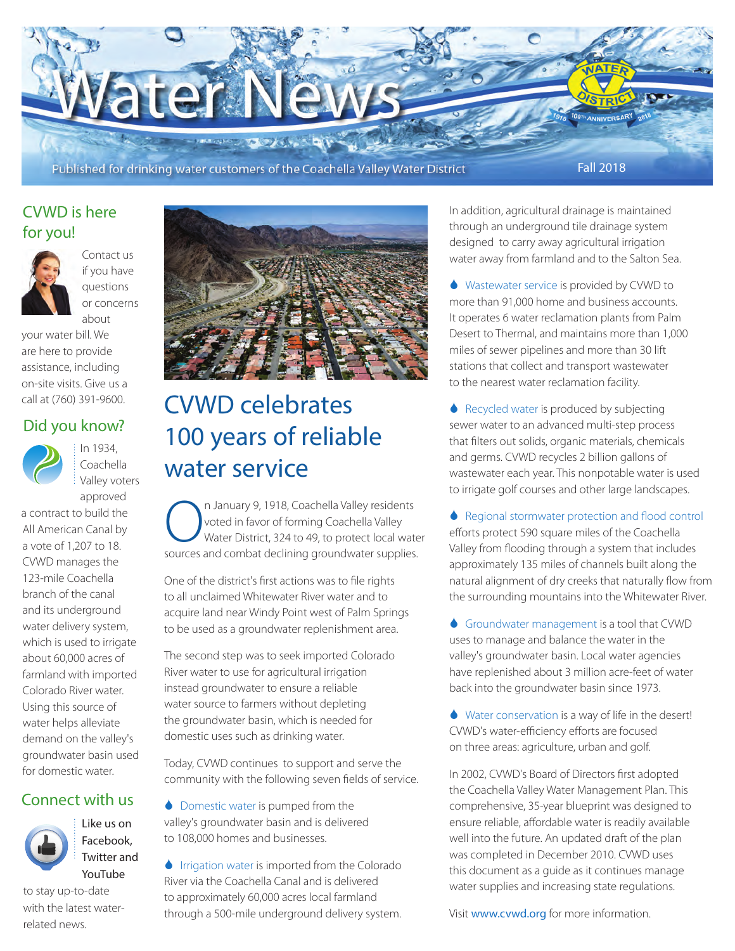

#### CVWD is here for you!



Contact us if you have questions or concerns about

your water bill. We are here to provide assistance, including on-site visits. Give us a call at (760) 391-9600.

#### Did you know?



 $\frac{1}{2}$  In 1934, Coachella Valley voters approved

a contract to build the All American Canal by a vote of 1,207 to 18. CVWD manages the 123-mile Coachella branch of the canal and its underground water delivery system, which is used to irrigate about 60,000 acres of farmland with imported Colorado River water. Using this source of water helps alleviate demand on the valley's groundwater basin used for domestic water.

#### Connect with us

Like us on Facebook, Twitter and YouTube



to stay up-to-date with the latest waterrelated news.



## CVWD celebrates 100 years of reliable water service

Coachella Valley residents<br>
Voted in favor of forming Coachella Valley<br>
Water District, 324 to 49, to protect local water<br>
Sources and combat doclining groundwater supplies voted in favor of forming Coachella Valley Water District, 324 to 49, to protect local water sources and combat declining groundwater supplies.

One of the district's first actions was to file rights to all unclaimed Whitewater River water and to acquire land near Windy Point west of Palm Springs to be used as a groundwater replenishment area.

The second step was to seek imported Colorado River water to use for agricultural irrigation instead groundwater to ensure a reliable water source to farmers without depleting the groundwater basin, which is needed for domestic uses such as drinking water.

Today, CVWD continues to support and serve the community with the following seven fields of service.

**Comestic water is pumped from the** valley's groundwater basin and is delivered to 108,000 homes and businesses.

♦ Irrigation water is imported from the Colorado River via the Coachella Canal and is delivered to approximately 60,000 acres local farmland through a 500-mile underground delivery system.

In addition, agricultural drainage is maintained through an underground tile drainage system designed to carry away agricultural irrigation water away from farmland and to the Salton Sea.

6 Wastewater service is provided by CVWD to more than 91,000 home and business accounts. It operates 6 water reclamation plants from Palm Desert to Thermal, and maintains more than 1,000 miles of sewer pipelines and more than 30 lift stations that collect and transport wastewater to the nearest water reclamation facility.

◆ Recycled water is produced by subjecting sewer water to an advanced multi-step process that filters out solids, organic materials, chemicals and germs. CVWD recycles 2 billion gallons of wastewater each year. This nonpotable water is used to irrigate golf courses and other large landscapes.

♦ Regional stormwater protection and flood control efforts protect 590 square miles of the Coachella Valley from flooding through a system that includes approximately 135 miles of channels built along the natural alignment of dry creeks that naturally flow from the surrounding mountains into the Whitewater River.

6 Groundwater management is a tool that CVWD uses to manage and balance the water in the valley's groundwater basin. Local water agencies have replenished about 3 million acre-feet of water back into the groundwater basin since 1973.

6 Water conservation is a way of life in the desert! CVWD's water-efficiency efforts are focused on three areas: agriculture, urban and golf.

In 2002, CVWD's Board of Directors first adopted the Coachella Valley Water Management Plan. This comprehensive, 35-year blueprint was designed to ensure reliable, affordable water is readily available well into the future. An updated draft of the plan was completed in December 2010. CVWD uses this document as a guide as it continues manage water supplies and increasing state regulations.

Visit www.cvwd.org for more information.